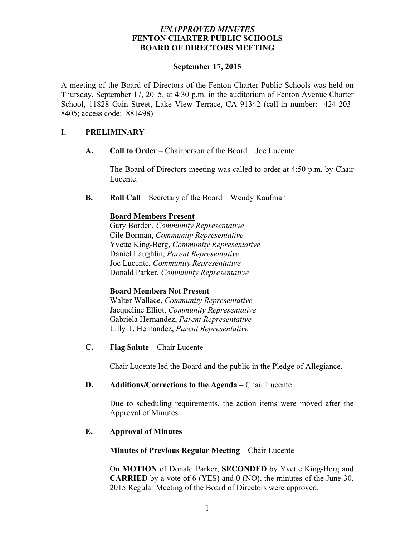### *UNAPPROVED MINUTES* **FENTON CHARTER PUBLIC SCHOOLS BOARD OF DIRECTORS MEETING**

#### **September 17, 2015**

A meeting of the Board of Directors of the Fenton Charter Public Schools was held on Thursday, September 17, 2015, at 4:30 p.m. in the auditorium of Fenton Avenue Charter School, 11828 Gain Street, Lake View Terrace, CA 91342 (call-in number: 424-203- 8405; access code: 881498)

## **I. PRELIMINARY**

**A. Call to Order –** Chairperson of the Board – Joe Lucente

The Board of Directors meeting was called to order at 4:50 p.m. by Chair Lucente.

**B. Roll Call** – Secretary of the Board – Wendy Kaufman

### **Board Members Present**

Gary Borden, *Community Representative* Cile Borman, *Community Representative* Yvette King-Berg, *Community Representative* Daniel Laughlin, *Parent Representative* Joe Lucente, *Community Representative* Donald Parker, *Community Representative*

### **Board Members Not Present**

Walter Wallace, *Community Representative*  Jacqueline Elliot, *Community Representative* Gabriela Hernandez, *Parent Representative* Lilly T. Hernandez, *Parent Representative*

**C. Flag Salute** – Chair Lucente

Chair Lucente led the Board and the public in the Pledge of Allegiance.

### **D. Additions/Corrections to the Agenda** – Chair Lucente

Due to scheduling requirements, the action items were moved after the Approval of Minutes.

## **E. Approval of Minutes**

### **Minutes of Previous Regular Meeting – Chair Lucente**

On **MOTION** of Donald Parker, **SECONDED** by Yvette King-Berg and **CARRIED** by a vote of 6 (YES) and 0 (NO), the minutes of the June 30, 2015 Regular Meeting of the Board of Directors were approved.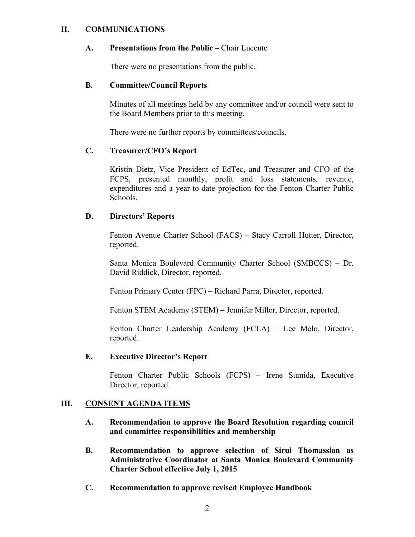### **II. COMMUNICATIONS**

#### **A. Presentations from the Public** – Chair Lucente

There were no presentations from the public.

#### **B. Committee/Council Reports**

Minutes of all meetings held by any committee and/or council were sent to the Board Members prior to this meeting.

There were no further reports by committees/councils.

### **C. Treasurer/CFO's Report**

Kristin Dietz, Vice President of EdTec, and Treasurer and CFO of the FCPS, presented monthly, profit and loss statements, revenue, expenditures and a year-to-date projection for the Fenton Charter Public Schools.

### **D. Directors' Reports**

Fenton Avenue Charter School (FACS) – Stacy Carroll Hutter, Director, reported.

Santa Monica Boulevard Community Charter School (SMBCCS) – Dr. David Riddick, Director, reported.

Fenton Primary Center (FPC) – Richard Parra, Director, reported.

Fenton STEM Academy (STEM) – Jennifer Miller, Director, reported.

Fenton Charter Leadership Academy (FCLA) – Lee Melo, Director, reported.

#### **E. Executive Director's Report**

Fenton Charter Public Schools (FCPS) – Irene Sumida, Executive Director, reported.

### **III. CONSENT AGENDA ITEMS**

- **A. Recommendation to approve the Board Resolution regarding council and committee responsibilities and membership**
- **B. Recommendation to approve selection of Sirui Thomassian as Administrative Coordinator at Santa Monica Boulevard Community Charter School effective July 1, 2015**
- **C. Recommendation to approve revised Employee Handbook**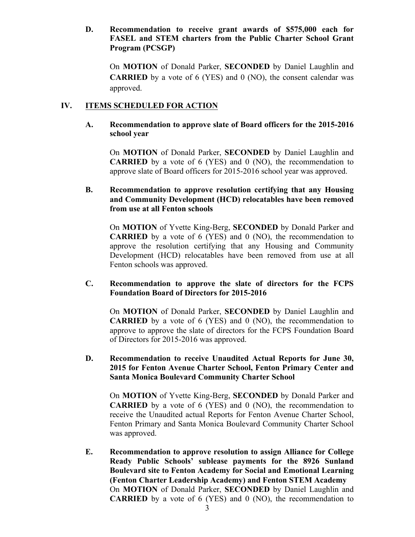### **D. Recommendation to receive grant awards of \$575,000 each for FASEL and STEM charters from the Public Charter School Grant Program (PCSGP)**

On **MOTION** of Donald Parker, **SECONDED** by Daniel Laughlin and **CARRIED** by a vote of 6 (YES) and 0 (NO), the consent calendar was approved.

# **IV. ITEMS SCHEDULED FOR ACTION**

### **A. Recommendation to approve slate of Board officers for the 2015-2016 school year**

On **MOTION** of Donald Parker, **SECONDED** by Daniel Laughlin and **CARRIED** by a vote of 6 (YES) and 0 (NO), the recommendation to approve slate of Board officers for 2015-2016 school year was approved.

### **B. Recommendation to approve resolution certifying that any Housing and Community Development (HCD) relocatables have been removed from use at all Fenton schools**

On **MOTION** of Yvette King-Berg, **SECONDED** by Donald Parker and **CARRIED** by a vote of 6 (YES) and 0 (NO), the recommendation to approve the resolution certifying that any Housing and Community Development (HCD) relocatables have been removed from use at all Fenton schools was approved.

### **C. Recommendation to approve the slate of directors for the FCPS Foundation Board of Directors for 2015-2016**

On **MOTION** of Donald Parker, **SECONDED** by Daniel Laughlin and **CARRIED** by a vote of 6 (YES) and 0 (NO), the recommendation to approve to approve the slate of directors for the FCPS Foundation Board of Directors for 2015-2016 was approved.

## **D. Recommendation to receive Unaudited Actual Reports for June 30, 2015 for Fenton Avenue Charter School, Fenton Primary Center and Santa Monica Boulevard Community Charter School**

On **MOTION** of Yvette King-Berg, **SECONDED** by Donald Parker and **CARRIED** by a vote of 6 (YES) and 0 (NO), the recommendation to receive the Unaudited actual Reports for Fenton Avenue Charter School, Fenton Primary and Santa Monica Boulevard Community Charter School was approved.

**E. Recommendation to approve resolution to assign Alliance for College Ready Public Schools' sublease payments for the 8926 Sunland Boulevard site to Fenton Academy for Social and Emotional Learning (Fenton Charter Leadership Academy) and Fenton STEM Academy** On **MOTION** of Donald Parker, **SECONDED** by Daniel Laughlin and **CARRIED** by a vote of 6 (YES) and 0 (NO), the recommendation to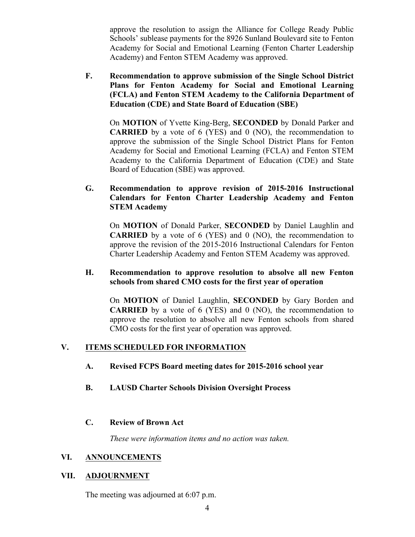approve the resolution to assign the Alliance for College Ready Public Schools' sublease payments for the 8926 Sunland Boulevard site to Fenton Academy for Social and Emotional Learning (Fenton Charter Leadership Academy) and Fenton STEM Academy was approved.

**F. Recommendation to approve submission of the Single School District Plans for Fenton Academy for Social and Emotional Learning (FCLA) and Fenton STEM Academy to the California Department of Education (CDE) and State Board of Education (SBE)**

On **MOTION** of Yvette King-Berg, **SECONDED** by Donald Parker and **CARRIED** by a vote of 6 (YES) and 0 (NO), the recommendation to approve the submission of the Single School District Plans for Fenton Academy for Social and Emotional Learning (FCLA) and Fenton STEM Academy to the California Department of Education (CDE) and State Board of Education (SBE) was approved.

**G. Recommendation to approve revision of 2015-2016 Instructional Calendars for Fenton Charter Leadership Academy and Fenton STEM Academy**

On **MOTION** of Donald Parker, **SECONDED** by Daniel Laughlin and **CARRIED** by a vote of 6 (YES) and 0 (NO), the recommendation to approve the revision of the 2015-2016 Instructional Calendars for Fenton Charter Leadership Academy and Fenton STEM Academy was approved.

### **H. Recommendation to approve resolution to absolve all new Fenton schools from shared CMO costs for the first year of operation**

On **MOTION** of Daniel Laughlin, **SECONDED** by Gary Borden and **CARRIED** by a vote of 6 (YES) and 0 (NO), the recommendation to approve the resolution to absolve all new Fenton schools from shared CMO costs for the first year of operation was approved.

# **V. ITEMS SCHEDULED FOR INFORMATION**

- **A. Revised FCPS Board meeting dates for 2015-2016 school year**
- **B. LAUSD Charter Schools Division Oversight Process**

## **C. Review of Brown Act**

*These were information items and no action was taken.*

### **VI. ANNOUNCEMENTS**

### **VII. ADJOURNMENT**

The meeting was adjourned at 6:07 p.m.